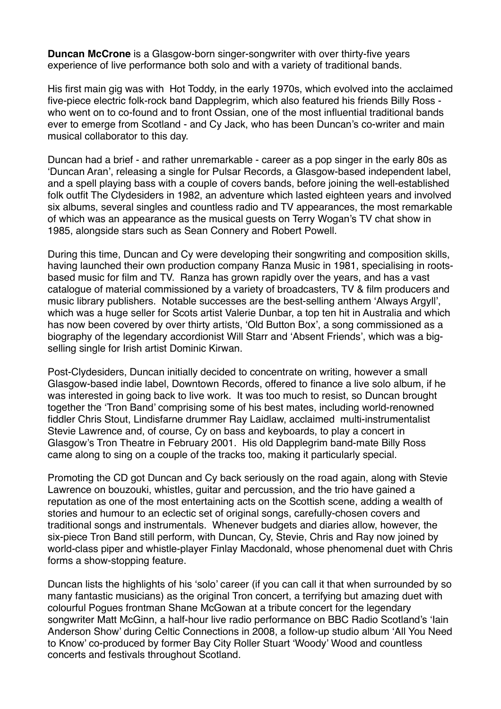**Duncan McCrone** is a Glasgow-born singer-songwriter with over thirty-five years experience of live performance both solo and with a variety of traditional bands.

His first main gig was with Hot Toddy, in the early 1970s, which evolved into the acclaimed five-piece electric folk-rock band Dapplegrim, which also featured his friends Billy Ross who went on to co-found and to front Ossian, one of the most influential traditional bands ever to emerge from Scotland - and Cy Jack, who has been Duncan's co-writer and main musical collaborator to this day.

Duncan had a brief - and rather unremarkable - career as a pop singer in the early 80s as 'Duncan Aran', releasing a single for Pulsar Records, a Glasgow-based independent label, and a spell playing bass with a couple of covers bands, before joining the well-established folk outfit The Clydesiders in 1982, an adventure which lasted eighteen years and involved six albums, several singles and countless radio and TV appearances, the most remarkable of which was an appearance as the musical guests on Terry Wogan's TV chat show in 1985, alongside stars such as Sean Connery and Robert Powell.

During this time, Duncan and Cy were developing their songwriting and composition skills, having launched their own production company Ranza Music in 1981, specialising in rootsbased music for film and TV. Ranza has grown rapidly over the years, and has a vast catalogue of material commissioned by a variety of broadcasters, TV & film producers and music library publishers. Notable successes are the best-selling anthem 'Always Argyll', which was a huge seller for Scots artist Valerie Dunbar, a top ten hit in Australia and which has now been covered by over thirty artists, 'Old Button Box', a song commissioned as a biography of the legendary accordionist Will Starr and 'Absent Friends', which was a bigselling single for Irish artist Dominic Kirwan.

Post-Clydesiders, Duncan initially decided to concentrate on writing, however a small Glasgow-based indie label, Downtown Records, offered to finance a live solo album, if he was interested in going back to live work. It was too much to resist, so Duncan brought together the 'Tron Band' comprising some of his best mates, including world-renowned fiddler Chris Stout, Lindisfarne drummer Ray Laidlaw, acclaimed multi-instrumentalist Stevie Lawrence and, of course, Cy on bass and keyboards, to play a concert in Glasgow's Tron Theatre in February 2001. His old Dapplegrim band-mate Billy Ross came along to sing on a couple of the tracks too, making it particularly special.

Promoting the CD got Duncan and Cy back seriously on the road again, along with Stevie Lawrence on bouzouki, whistles, guitar and percussion, and the trio have gained a reputation as one of the most entertaining acts on the Scottish scene, adding a wealth of stories and humour to an eclectic set of original songs, carefully-chosen covers and traditional songs and instrumentals. Whenever budgets and diaries allow, however, the six-piece Tron Band still perform, with Duncan, Cy, Stevie, Chris and Ray now joined by world-class piper and whistle-player Finlay Macdonald, whose phenomenal duet with Chris forms a show-stopping feature.

Duncan lists the highlights of his 'solo' career (if you can call it that when surrounded by so many fantastic musicians) as the original Tron concert, a terrifying but amazing duet with colourful Pogues frontman Shane McGowan at a tribute concert for the legendary songwriter Matt McGinn, a half-hour live radio performance on BBC Radio Scotland's 'Iain Anderson Show' during Celtic Connections in 2008, a follow-up studio album 'All You Need to Know' co-produced by former Bay City Roller Stuart 'Woody' Wood and countless concerts and festivals throughout Scotland.